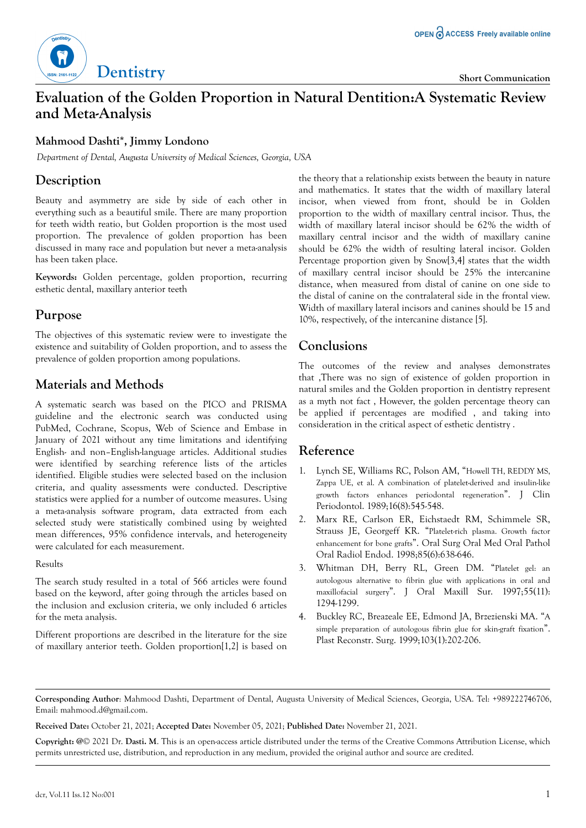

# **Evaluation of the Golden Proportion in Natural Dentition:A Systematic Review and Meta-Analysis**

### **Mahmood Dashti\*, Jimmy Londono**

*Department of Dental, Augusta University of Medical Sciences, Georgia, USA*

## **Description**

Beauty and asymmetry are side by side of each other in everything such as a beautiful smile. There are many proportion for teeth width reatio, but Golden proportion is the most used proportion. The prevalence of golden proportion has been discussed in many race and population but never a meta-analysis has been taken place.

**Keywords:** Golden percentage, golden proportion, recurring esthetic dental, maxillary anterior teeth

#### **Purpose**

The objectives of this systematic review were to investigate the existence and suitability of Golden proportion, and to assess the prevalence of golden proportion among populations.

## **Materials and Methods**

A systematic search was based on the PICO and PRISMA guideline and the electronic search was conducted using PubMed, Cochrane, Scopus, Web of Science and Embase in January of 2021 without any time limitations and identifying English- and non–English-language articles. Additional studies were identified by searching reference lists of the articles identified. Eligible studies were selected based on the inclusion criteria, and quality assessments were conducted. Descriptive statistics were applied for a number of outcome measures. Using a meta-analysis software program, data extracted from each selected study were statistically combined using by weighted mean differences, 95% confidence intervals, and heterogeneity were calculated for each measurement.

#### Results

The search study resulted in a total of 566 articles were found based on the keyword, after going through the articles based on the inclusion and exclusion criteria, we only included 6 articles for the meta analysis.

Different proportions are described in the literature for the size of maxillary anterior teeth. Golden proportion[1,2] is based on

the theory that a relationship exists between the beauty in nature and mathematics. It states that the width of maxillary lateral incisor, when viewed from front, should be in Golden proportion to the width of maxillary central incisor. Thus, the width of maxillary lateral incisor should be 62% the width of maxillary central incisor and the width of maxillary canine should be 62% the width of resulting lateral incisor. Golden Percentage proportion given by Snow[3,4] states that the width of maxillary central incisor should be 25% the intercanine distance, when measured from distal of canine on one side to the distal of canine on the contralateral side in the frontal view. Width of maxillary lateral incisors and canines should be 15 and 10%, respectively, of the intercanine distance [5].

## **Conclusions**

The outcomes of the review and analyses demonstrates that ,There was no sign of existence of golden proportion in natural smiles and the Golden proportion in dentistry represent as a myth not fact , However, the golden percentage theory can be applied if percentages are modified , and taking into consideration in the critical aspect of esthetic dentistry .

### **Reference**

- 1. Lynch SE, Williams RC, Polson AM, "[Howell TH, REDDY MS,](https://onlinelibrary.wiley.com/doi/10.1111/j.1600-051X.1989.tb02334.x) [Zappa UE, et al. A combination of platelet-derived and insulin-like](https://onlinelibrary.wiley.com/doi/10.1111/j.1600-051X.1989.tb02334.x) [growth factors enhances periodontal regeneration](https://onlinelibrary.wiley.com/doi/10.1111/j.1600-051X.1989.tb02334.x)". J Clin Periodontol. 1989;16(8):545-548.
- 2. Marx RE, Carlson ER, Eichstaedt RM, Schimmele SR, Strauss JE, Georgeff KR. "[Platelet-rich plasma. Growth factor](https://www.oooojournal.net/article/S1079-2104(98)90029-4/pdf) [enhancement for bone grafts](https://www.oooojournal.net/article/S1079-2104(98)90029-4/pdf)". Oral Surg Oral Med Oral Pathol Oral Radiol Endod. 1998;85(6):638-646.
- 3. Whitman DH, Berry RL, Green DM. "[Platelet gel: an](https://www.sciencedirect.com/science/article/abs/pii/S0278239197901877) [autologous alternative to fibrin glue with applications in oral and](https://www.sciencedirect.com/science/article/abs/pii/S0278239197901877) [maxillofacial surgery](https://www.sciencedirect.com/science/article/abs/pii/S0278239197901877)". J Oral Maxill Sur. 1997;55(11): 1294-1299.
- 4. Buckley RC, Breazeale EE, Edmond JA, Brzezienski MA. "[A](https://journals.lww.com/plasreconsurg/Citation/1999/01000/A_Simple_Preparation_of_Autologous_Fibrin_Glue_for.33.aspx) [simple preparation of autologous fibrin glue for skin-graft fixation](https://journals.lww.com/plasreconsurg/Citation/1999/01000/A_Simple_Preparation_of_Autologous_Fibrin_Glue_for.33.aspx)". Plast Reconstr. Surg. 1999;103(1):202-206.

**Received Date:** October 21, 2021; **Accepted Date:** November 05, 2021; **Published Date:** November 21, 2021.

**Copyright: @**© 2021 Dr. **Dasti. M**. This is an open-access article distributed under the terms of the Creative Commons Attribution License, which permits unrestricted use, distribution, and reproduction in any medium, provided the original author and source are credited.

**Corresponding Author**: Mahmood Dashti, Department of Dental, Augusta University of Medical Sciences, Georgia, USA. Tel: +989222746706, Email: mahmood.d@gmail.com.